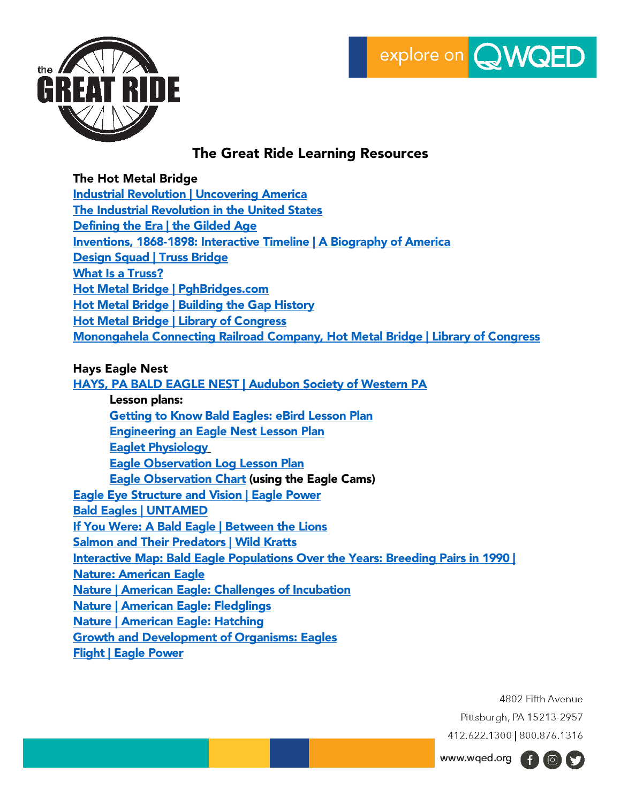



# The Great Ride Learning Resources

# The Hot Metal Bridge

[Industrial Revolution | Uncovering America](https://wqed.pbslearningmedia.org/resource/industrial-revolution-lesson-uncovering-america/lesson-plan-uncovering-america/) [The Industrial Revolution in the United States](https://wqed.pbslearningmedia.org/resource/4276cc1a-017d-4801-8180-de9fe5b956a4/4276cc1a-017d-4801-8180-de9fe5b956a4/) [Defining the Era | the Gilded Age](https://wqed.pbslearningmedia.org/resource/amex30ga-soc-definingera/defining-the-era-the-gilded-age/) [Inventions, 1868-1898: Interactive Timeline | A Biography of America](https://wqed.pbslearningmedia.org/resource/biogam.soc.ush.tlinv/inventions-1868-1898-interactive-timeline/) [Design Squad | Truss Bridge](https://wqed.pbslearningmedia.org/resource/lsps07.sci.phys.maf.dstruss/design-squad-truss-bridge/) [What Is a](https://wqed.pbslearningmedia.org/resource/arct14.sci.dstruss/what-is-a-truss/) Truss? [Hot Metal Bridge | PghBridges.com](http://pghbridges.com/pittsburghE/0588-4475/hotmetal.htm) [Hot Metal Bridge | Building the Gap History](https://gaphistory.org/point_of_interest/hot-metal-bridge/) [Hot Metal Bridge | Library of Congress](https://www.loc.gov/resource/hhh.pa0057.photos/?sp=29) [Monongahela Connecting Railroad Company, Hot Metal Bridge | Library of Congress](https://www.loc.gov/item/pa2798/)

### Hays Eagle Nest

HAYS, PA BALD EAGLE NEST [| Audubon Society of Western PA](http://www.aswp.org/pages/hays-nest) Lesson plans: [Getting to Know Bald Eagles: eBird Lesson Plan](http://www.aswp.org/media/W1siZiIsIjIwMTYvMTAvMjcvNXhpa3Uxa2dyMV9HZXR0aW5nX1RvX0tub3dfQmFsZF9FYWdsZXNfVGhyb3VnaF9lQmlyZF9MZXNzb25fUGxhbi5wZGYiXV0/Getting%20To%20Know%20Bald%20Eagles%20Through%20eBird%20Lesson%20Plan.pdf) [Engineering an Eagle Nest Lesson Plan](http://www.aswp.org/media/W1siZiIsIjIwMTYvMTAvMjcvZXoyeWk4ODN0X0VuZ2luZWVyaW5nX2FuX0VhZ2xlX05lc3RfTGVzc29uX1BsYW4ucGRmIl1d/Engineering%20an%20Eagle%20Nest%20Lesson%20Plan.pdf) [Eaglet Physiology](http://www.aswp.org/media/W1siZiIsIjIwMTYvMTAvMjcvOTR0bGZuNGZkNF9FYWdsZXRfUGh5c2lvbG9neV9Eb3dubG9hZC5wZGYiXV0/Eaglet%20Physiology%20Download.pdf) [Eagle Observation Log Lesson Plan](http://aswp.org/media/W1siZiIsIjIwMTYvMTAvMjcvOWFpbDJpdDgwel9FYWdsZV9PYnNlcnZhdGlvbl9Mb2dfTGVzc29uX1BsYW4ucGRmIl1d/Eagle%20Observation%20Log%20Lesson%20Plan.pdf) **[Eagle Observation Chart](http://www.aswp.org/media/W1siZiIsIjIwMjAvMTAvMjIvOTkwN2tybnU2Y19FYWdsZV9PYnNlcnZhdGlvbl9DaGFydHNfTE9HT19jb2xvci5wZGYiXV0/Eagle%20Observation%20Charts%20LOGO%20color.pdf) (using the Eagle Cams)** [Eagle Eye Structure and Vision | Eagle Power](https://wqed.pbslearningmedia.org/resource/nvep-sci-eaglevision/eagle-eye-structure-and-vision-eagle-power/) [Bald Eagles | UNTAMED](https://wqed.pbslearningmedia.org/resource/bald-eagles-video/untamed-the-wildlife-center-of-virginia/) [If You Were: A Bald Eagle | Between the Lions](https://wqed.pbslearningmedia.org/resource/btl10.ela.early.ifyouwerebaldeagle/if-you-were-bald-eagle/) [Salmon and Their Predators | Wild Kratts](https://wqed.pbslearningmedia.org/resource/17c3231a-a0be-41e7-ac1d-0c52bef350a2/salmon-and-their-predators-wild-kratts/) [Interactive Map: Bald Eagle Populations Over the Years: Breeding Pairs in 1990 |](https://wqed.pbslearningmedia.org/resource/fcee0653-6037-49e6-a5cc-7ff6c1bc920f/interactive-map-bald-eagle-populations-over-the-years-breeding-pairs-in-1990-nature-american-eagle/)  [Nature: American Eagle](https://wqed.pbslearningmedia.org/resource/fcee0653-6037-49e6-a5cc-7ff6c1bc920f/interactive-map-bald-eagle-populations-over-the-years-breeding-pairs-in-1990-nature-american-eagle/) [Nature | American Eagle: Challenges of Incubation](https://wqed.pbslearningmedia.org/resource/bf10.sci.lv.ls.incubate/nature-american-eagle-challenges-of-incubation/) [Nature | American Eagle: Fledglings](https://wqed.pbslearningmedia.org/resource/bf10.sci.lv.ls.fledgling/nature-american-eagle-fledglings/) [Nature | American Eagle: Hatching](https://wqed.pbslearningmedia.org/resource/bf10.sci.lv.ls.hatching/nature-american-eagle-hatching/) [Growth and Development of Organisms: Eagles](https://wqed.pbslearningmedia.org/resource/bf10.sci.lv.ls.lpbringbir/bringing-up-birdy/) [Flight | Eagle Power](https://wqed.pbslearningmedia.org/resource/nvep-sci-flight/flight-eagle-power/)

> 4802 Fifth Avenue Pittsburgh, PA 15213-2957 412.622.1300 | 800.876.1316

www.wqed.org (f) (c) (s)

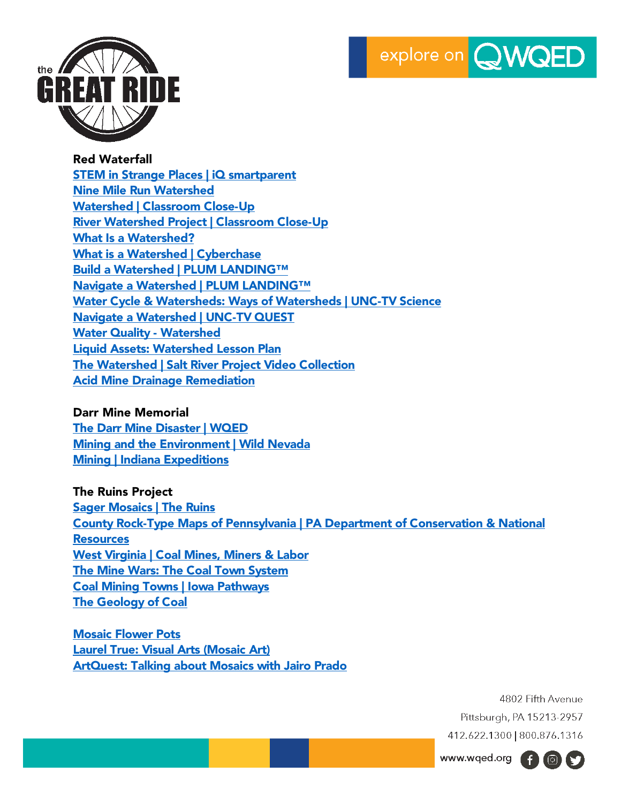



Red Waterfall [STEM in Strange Places | iQ smartparent](https://www.wqed.org/smartparent/episodes/603) [Nine Mile Run Watershed](https://ninemilerun.org/) [Watershed | Classroom Close-Up](https://wqed.pbslearningmedia.org/resource/cc13.pd.sci.watershed/watershed/) [River Watershed Project | Classroom Close-Up](https://wqed.pbslearningmedia.org/resource/cc13.pd.sci.rivwater/river-watershed-project/) [What Is a Watershed?](https://wqed.pbslearningmedia.org/resource/ket09.sci.ess.water.wshed/what-is-a-watershed/) [What is a Watershed | Cyberchase](https://wqed.pbslearningmedia.org/resource/cyb12-what-is-a-watershed-video/cyberchase/) [Build a Watershed | PLUM LANDING™](https://wqed.pbslearningmedia.org/resource/plum14.sci.life.watershed/build-a-watershed/) [Navigate a Watershed | PLUM LANDING™](https://wqed.pbslearningmedia.org/resource/plum14.sci.life.rivertosea/navigate-a-watershed/) [Water Cycle & Watersheds: Ways of Watersheds | UNC-TV Science](https://wqed.pbslearningmedia.org/resource/water-cycle-unc-tv-science/water-cycle-ways-of-watersheds-unc-tv-science/) [Navigate a Watershed | UNC-TV QUEST](https://wqed.pbslearningmedia.org/resource/10b85a0b-596a-4eb4-863b-2c717c27959e/navigate-a-watershed/) [Water Quality -](https://wqed.pbslearningmedia.org/resource/254b8ba3-02eb-40e0-8a65-f39f466e2aa7/water-quality-watershed/) Watershed [Liquid Assets: Watershed Lesson Plan](https://wqed.pbslearningmedia.org/resource/psu08-liq.sci.text.lpwatershed/liquid-assets-watershed/) [The Watershed | Salt River Project Video Collection](https://wqed.pbslearningmedia.org/collection/salt-river-project-the-watershed/) [Acid Mine Drainage Remediation](https://wqed.pbslearningmedia.org/resource/watsol.sci.ess.water.amdren/acid-mine-drainage-remediation/)

Darr Mine Memorial [The Darr Mine Disaster | WQED](https://www.wqed.org/historydocs#lr--darr-mine) [Mining and the Environment | Wild Nevada](https://wqed.pbslearningmedia.org/resource/knpb-wildnevada-mining-and-environment/mining-and-the-environment-wild-nevada/) [Mining | Indiana Expeditions](https://wqed.pbslearningmedia.org/resource/0af9a773-40d5-4638-b68a-bb2a45519842/meet-the-teacher-mining/)

The Ruins Project [Sager Mosaics | The Ruins](https://ruins.sagermosaics.com/) [County Rock-Type Maps of Pennsylvania | PA Department of Conservation & National](https://www.dcnr.pa.gov/Geology/GeologyOfPA/CountyRockMaps/Pages/default.aspx)  **[Resources](https://www.dcnr.pa.gov/Geology/GeologyOfPA/CountyRockMaps/Pages/default.aspx)** [West Virginia | Coal Mines, Miners & Labor](https://wqed.pbslearningmedia.org/collection/west-virginia-coal-mines-and-miners/)  [The Mine Wars: The Coal Town System](https://wqed.pbslearningmedia.org/resource/amex28mw-soc-minetown/wgbh-americanexperience-the-mine-wars-the-coal-town-system/) [Coal Mining Towns | Iowa Pathways](https://wqed.pbslearningmedia.org/resource/c4f2b5ff-cf94-46b2-8a41-c8e01c1e805a/coal-mining-towns-iowa-pathways/) [The Geology of Coal](https://wqed.pbslearningmedia.org/resource/watsol.sci.ess.water.geocoal/the-geology-of-coal/)

[Mosaic Flower Pots](https://wqed.pbslearningmedia.org/resource/arct14.arts.zmosaic/mosaic-flower-pots/) [Laurel True: Visual Arts \(Mosaic Art\)](https://wqed.pbslearningmedia.org/resource/eae1dacb-7321-4c45-a657-137dcf6f640d/laurel-true-visual-art/) [ArtQuest: Talking about Mosaics with Jairo Prado](https://wqed.pbslearningmedia.org/resource/npt-artquest-209-talkingaboutmosaicswithjairoprado/artquest-talking-about-mosaics-with-jairo-prado/)

> 4802 Fifth Avenue Pittsburgh, PA 15213-2957 412.622.1300 | 800.876.1316



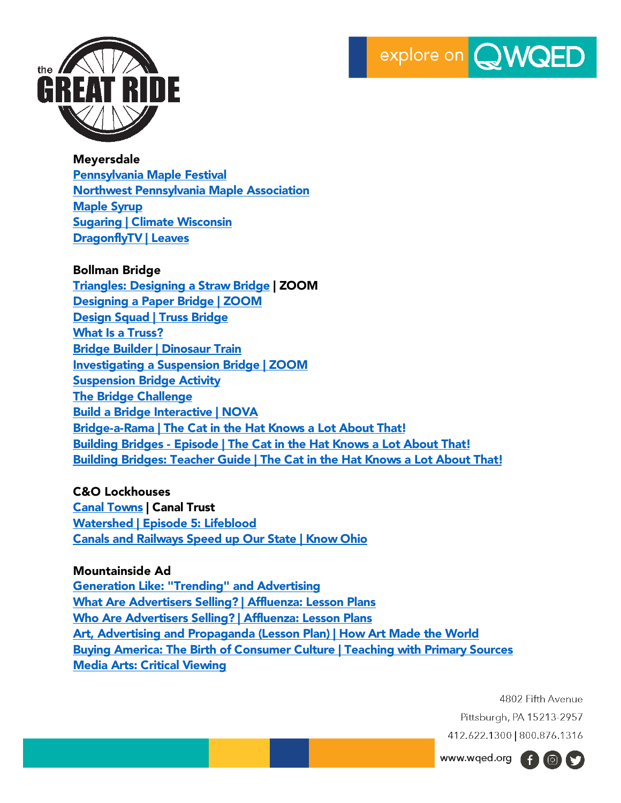



#### Meyersdale

[Pennsylvania Maple Festival](https://www.pamaplefestival.com/) [Northwest Pennsylvania Maple Association](http://pamaple.org/making.html) [Maple Syrup](https://wqed.pbslearningmedia.org/resource/wpsu09.sci.life.stru.wpsumapsyr/maple-syrup/) **[Sugaring | Climate Wisconsin](https://wqed.pbslearningmedia.org/resource/ecb10.sci.ess.watcyc.sugaring/climate-wisconsin-sugaring/)** [DragonflyTV | Leaves](https://wqed.pbslearningmedia.org/resource/c1c4c652-a8d5-4e22-925f-45b0990b3194/c1c4c652-a8d5-4e22-925f-45b0990b3194/)

#### Bollman Bridge

[Triangles: Designing a Straw Bridge](https://wqed.pbslearningmedia.org/resource/phy03.sci.phys.mfe.zstrawbridge/triangles-designing-a-straw-bridge/) | ZOOM [Designing a Paper Bridge | ZOOM](https://wqed.pbslearningmedia.org/resource/phy03.sci.phys.mfw.zpapbr/designing-a-paper-bridge/) [Design Squad | Truss Bridge](https://wqed.pbslearningmedia.org/resource/lsps07.sci.phys.maf.dstruss/design-squad-truss-bridge/) [What Is a Truss?](https://wqed.pbslearningmedia.org/resource/arct14.sci.dstruss/what-is-a-truss/) [Bridge Builder | Dinosaur Train](https://wqed.pbslearningmedia.org/resource/kids-lab-activities-dinosaur-train-bridge-builder/bridge-builder-dinosaur-train/) [Investigating a Suspension Bridge | ZOOM](https://wqed.pbslearningmedia.org/resource/phy03.sci.phys.mfe.zsuspension/investigating-a-suspension-bridge/) [Suspension Bridge Activity](https://wqed.pbslearningmedia.org/resource/arct14.sci.bbsus/suspension-bridge-activity/) [The Bridge Challenge](https://wqed.pbslearningmedia.org/resource/phy03.sci.phys.mfw.bbbridgechal/the-bridge-challenge/) [Build a Bridge Interactive | NOVA](https://wqed.pbslearningmedia.org/resource/phy03.sci.phys.mfw.buildbridge/build-a-bridge/) Bridge-a-Rama | The Cat in [the Hat Knows a Lot About That!](https://wqed.pbslearningmedia.org/resource/bridge-a-rama/the-cat-in-the-hat-knows-a-lot-about-that/) Building Bridges - [Episode | The Cat in the Hat Knows a Lot About That!](https://wqed.pbslearningmedia.org/resource/building-bridges-video/the-cat-in-the-hat-knows-a-lot-about-that/) [Building Bridges: Teacher Guide | The Cat in the Hat Knows a Lot About That!](https://wqed.pbslearningmedia.org/resource/teachers-guide-building-bridges/the-cat-in-the-hat-knows-a-lot-about-that/)

## C&O Lockhouses

[Canal Towns](https://www.canaltrust.org/programs/canal-towns/) | Canal Trust [Watershed | Episode 5: Lifeblood](https://wqed.pbslearningmedia.org/resource/ffa475ab-9ebb-4877-8f6c-acfbce14ab5c/watershed-episode-5-lifeblood/) [Canals and Railways Speed up Our State | Know Ohio](https://wqed.pbslearningmedia.org/resource/canals-railway-speed-up-our-state-video/wviz-know-ohio/)

# Mountainside Ad

[Generation Like: "Trending" and Advertising](https://wqed.pbslearningmedia.org/resource/fl32-soc-gltrend/generation-like-trending-and-advertising/) [What Are Advertisers Selling? | Affluenza: Lesson Plans](https://wqed.pbslearningmedia.org/resource/35f1c762-7db3-4df1-841c-eb9e9b0ad7c2/what-are-advertisers-selling-affluenza-lesson-plans/) [Who Are Advertisers Selling? | Affluenza: Lesson Plans](https://wqed.pbslearningmedia.org/resource/25141e56-5906-415f-9afb-744822f5b277/who-are-advertisers-selling-affluenza-lesson-plans/) [Art, Advertising and Propaganda \(Lesson Plan\) | How Art Made the World](https://wqed.pbslearningmedia.org/resource/pbs_org14_hamtw_arts_5/how-art-made-the-world-lesson-plans-art-advertising-and-propaganda/) [Buying America: The Birth of Consumer Culture | Teaching with Primary Sources](https://wqed.pbslearningmedia.org/resource/6d26d0b9-beed-47a5-a752-c9746ed46026/buying-america-the-birth-of-consumer-culture/) [Media Arts: Critical Viewing](https://wqed.pbslearningmedia.org/resource/b9212b88-b3bb-4e76-87e5-43b3d33395ea/b9212b88-b3bb-4e76-87e5-43b3d33395ea/)

> 4802 Fifth Avenue Pittsburgh, PA 15213-2957 412.622.1300 | 800.876.1316

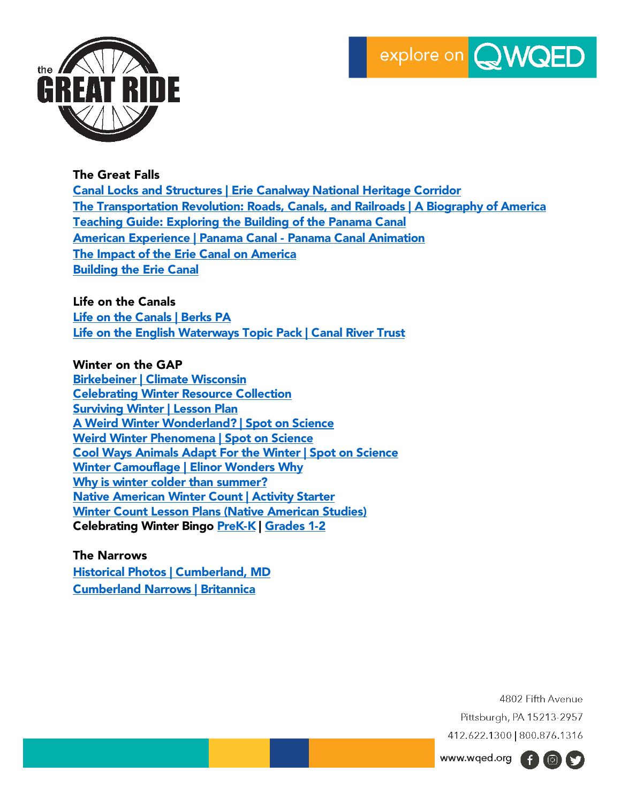



### The Great Falls

Canal Locks and Structures | [Erie Canalway National Heritage Corridor](https://eriecanalway.org/explore/locks) [The Transportation Revolution: Roads, Canals, and Railroads | A Biography of America](https://wqed.pbslearningmedia.org/resource/biogam.soc.ush.transrev/transportation-revolution-roads-canals-and-railroads/) [Teaching Guide: Exploring the Building of the Panama Canal](https://wqed.pbslearningmedia.org/resource/dpla-tg-039/teaching-guide-exploring-the-building-of-the-panama-canal/) [American Experience | Panama Canal -](https://wqed.pbslearningmedia.org/resource/arct14.sci.amexpanani/panama-canal-panama-canal-animation/) Panama Canal Animation The Impact of [the Erie Canal on America](https://wqed.pbslearningmedia.org/resource/ilwcny18-soc-ush-ilerie/the-impact-of-the-erie-canal-on-america/) [Building the Erie Canal](https://wqed.pbslearningmedia.org/resource/midlit10.soc.splerie/building-the-erie-canal/)

### Life on the Canals

[Life on the Canals | Berks PA](http://www.co.berks.pa.us/Dept/Parks/PublishingImages/Pre-Tour%20Info-Life%20on%20the%20Canals.pdf) [Life on the English Waterways Topic Pack | Canal River Trust](https://canalrivertrust.org.uk/media/original/31089-life-on-the-english-waterways.pdf?v=288f40)

### Winter on the GAP

[Birkebeiner | Climate Wisconsin](https://wqed.pbslearningmedia.org/resource/ecb10.sci.ess.watcyc.birkebeiner/climate-wisconsin-birkebeiner/) [Celebrating Winter Resource Collection](https://wqed.pbslearningmedia.org/collection/celebrating-winter/) [Surviving Winter | Lesson Plan](https://wqed.pbslearningmedia.org/resource/midlit10.sci.splwinter/surviving-winter/) [A Weird Winter Wonderland? | Spot on Science](https://wqed.pbslearningmedia.org/resource/more-weird-winter-phenomena-video/wviz-spot-on-science/) [Weird Winter Phenomena | Spot on Science](https://wqed.pbslearningmedia.org/resource/spot-on-science-weird-winter-phenomena/spot-on-science-weird-winter-phenomen) [Cool Ways Animals Adapt For the Winter | Spot on Science](https://wqed.pbslearningmedia.org/resource/wild-animals-in-winter-video/wviz-spot-on-science/) [Winter Camouflage | Elinor Wonders Why](https://wqed.pbslearningmedia.org/resource/winter-camouflage-lesson/winter-camouflage-winter/) [Why is winter colder than summer?](https://wqed.pbslearningmedia.org/resource/pdes06.sci.life.eco.wintercolder/why-is-winter-colder-than-summer/) [Native American Winter Count | Activity Starter](https://wqed.pbslearningmedia.org/resource/south-dakota-native-american-winter-count-video/activity-starter/) [Winter Count Lesson Plans \(Native American Studies\)](https://wqed.pbslearningmedia.org/resource/11e492e2-027d-4058-9fc4-5ede11f82460/winter-count-lesson-plans-native-american-studies/) Celebrating Winter Bingo [PreK-K](https://wqed.pbslearningmedia.org/resource/celebrating-winter-bingo-prek-and-k-pbs-kids/celebrating-winter-bingo-prek-and-k-pbs-kids-learn-along-bingo-activity-gallery/) | [Grades 1-2](https://wqed.pbslearningmedia.org/resource/celebrating-winter-bingo-grades-1-and-2-pbs-kids/celebrating-winter-bingo-grades-1-and-2-pbs-kids-learn-along-bingo-activity-gallery/)

The Narrows [Historical Photos | Cumberland, MD](https://www.cumberlandmd.gov/PhotoGallery/Album/15) [Cumberland Narrows | Britannica](https://www.britannica.com/place/Cumberland-Narrows)

> 4802 Fifth Avenue Pittsburgh, PA 15213-2957 412.622.1300 | 800.876.1316

www.wqed.org (f) 3

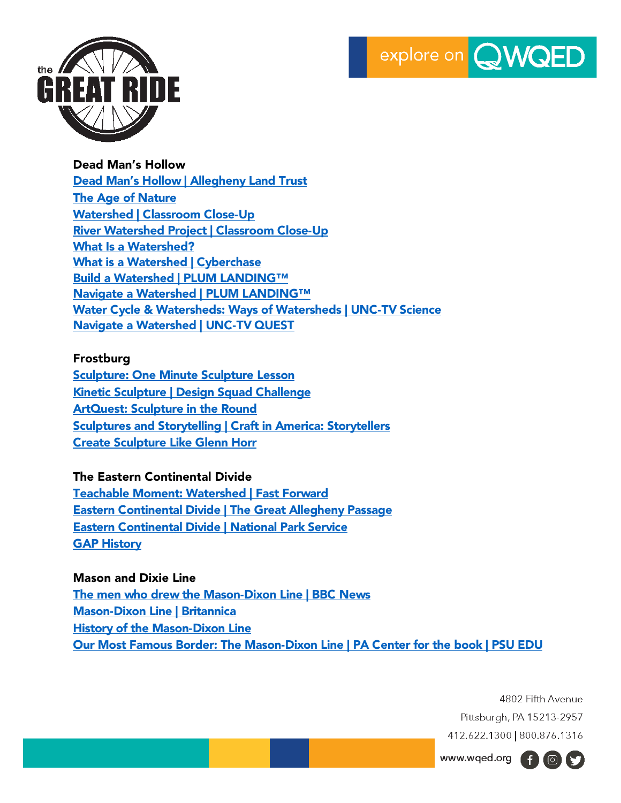



Dead Man's Hollow

[Dead Man's Hollow | Allegheny Land Trust](https://alleghenylandtrust.org/green-space/dead-mans-hollow/) [The Age of Nature](https://wqed.pbslearningmedia.org/collection/the-age-of-nature/) [Watershed | Classroom Close-Up](https://wqed.pbslearningmedia.org/resource/cc13.pd.sci.watershed/watershed/) [River Watershed Project | Classroom Close-Up](https://wqed.pbslearningmedia.org/resource/cc13.pd.sci.rivwater/river-watershed-project/) [What Is a Watershed?](https://wqed.pbslearningmedia.org/resource/ket09.sci.ess.water.wshed/what-is-a-watershed/) [What is a Watershed | Cyberchase](https://wqed.pbslearningmedia.org/resource/cyb12-what-is-a-watershed-video/cyberchase/) [Build a Watershed | PLUM LANDING™](https://wqed.pbslearningmedia.org/resource/plum14.sci.life.watershed/build-a-watershed/) [Navigate a Watershed | PLUM LANDING™](https://wqed.pbslearningmedia.org/resource/plum14.sci.life.rivertosea/navigate-a-watershed/) [Water Cycle & Watersheds: Ways of Watersheds | UNC-TV Science](https://wqed.pbslearningmedia.org/resource/water-cycle-unc-tv-science/water-cycle-ways-of-watersheds-unc-tv-science/) [Navigate a Watershed | UNC-TV QUEST](https://wqed.pbslearningmedia.org/resource/10b85a0b-596a-4eb4-863b-2c717c27959e/navigate-a-watershed/)

# Frostburg

[Sculpture: One Minute Sculpture Lesson](https://wqed.pbslearningmedia.org/resource/a02ce71d-3c6d-4576-96bb-96f6490a4f4f/a02ce71d-3c6d-4576-96bb-96f6490a4f4f/) [Kinetic Sculpture | Design Squad Challenge](https://wqed.pbslearningmedia.org/resource/arct14.sci.dssculpt/kinetic-sculpture/) [ArtQuest: Sculpture in the Round](https://wqed.pbslearningmedia.org/resource/npt-artquest-108-sculptureintheround/artquest-sculpture-in-the-round/) **[Sculptures and Storytelling | Craft in America: Storytellers](https://wqed.pbslearningmedia.org/resource/sculptures-storytelling-gallery/craft-in-america-storytellers/)** [Create Sculpture Like Glenn Horr](https://wqed.pbslearningmedia.org/resource/0175e18c-eefb-4070-b757-462571285695/create-sculpture-like-glenn-horr/)

# The Eastern Continental Divide

[Teachable Moment: Watershed | Fast Forward](https://gaptrail.org/amenities/eastern-continental-divide/) [Eastern Continental Divide | The Great Allegheny Passage](https://gaptrail.org/amenities/eastern-continental-divide/) [Eastern Continental Divide | National Park Service](https://www.nps.gov/pohe/planyourvisit/ecd-and-gap.htm) [GAP History](https://gaphistory.org/point_of_interest/eastern-continental-divide/)

# Mason and Dixie Line

[The men who drew the Mason-Dixon Line | BBC News](https://www.bbc.com/news/uk-england-40638673) [Mason-Dixon Line | Britannica](https://www.britannica.com/place/Mason-and-Dixon-Line) [History of the Mason-Dixon Line](https://www.risingsunmd.org/department/division.php?structureid=51) [Our Most Famous Border: The Mason-Dixon Line | PA Center for the book](https://pabook.libraries.psu.edu/literary-cultural-heritage-map-pa/feature-articles/our-most-famous-border-mason-dixon-line) | PSU EDU

> 4802 Fifth Avenue Pittsburgh, PA 15213-2957 412.622.1300 | 800.876.1316

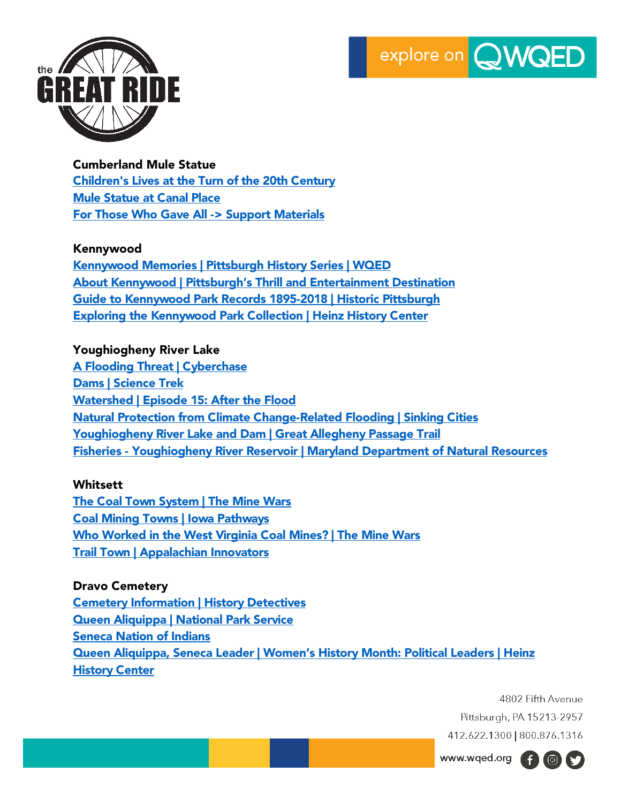



#### Cumberland Mule Statue

[Children's Lives at the Turn of the 20th Century](https://wqed.pbslearningmedia.org/resource/eb96a31f-4958-4f08-a2d7-8d1ad6ab9620/eb96a31f-4958-4f08-a2d7-8d1ad6ab9620/) [Mule Statue at Canal Place](https://www.canaltrust.org/pyv/mule-statue-at-canal-place/) [For Those Who Gave All -> Support Materials](https://wqed.pbslearningmedia.org/resource/9cd1baa0-d4e7-48d4-a6b5-bd24c16467bc/for-those-who-gave-all/)

#### Kennywood

[Kennywood Memories | Pittsburgh History Series | WQED](https://www.wqed.org/watch/pittsburgh-history-series/kennywood-memories-n2itdw) [About Kennywood | Pittsburgh's Thrill and Entertainment Destination](https://www.kennywood.com/prepare-your-visit/relevant-information/about-the-park) [Guide to Kennywood Park Records 1895-2018 | Historic Pittsburgh](https://historicpittsburgh.org/islandora/object/pitt%3AUS-QQS-MSS141/viewer) [Exploring the Kennywood Park Collection | Heinz History Center](https://www.heinzhistorycenter.org/blog/detre-library-archives/exploring-kennywood-park-collection)

### Youghiogheny River Lake

**[A Flooding Threat | Cyberchase](https://wqed.pbslearningmedia.org/resource/vtl07.math.data.rep.floodthrea/a-flooding-threat/)** [Dams | Science Trek](https://wqed.pbslearningmedia.org/resource/dams-science-trek/dams-science-trek/) [Watershed | Episode 15: After the Flood](https://wqed.pbslearningmedia.org/resource/a8223fb4-01d5-4a67-b991-dfc92eb2af28/pivotal-watershed-episode-15-after-the-flood/) [Natural Protection from Climate Change-Related Flooding | Sinking Cities](https://wqed.pbslearningmedia.org/resource/scities18-sci-wetlands/natural-protection-from-climate-change-related-flooding/) [Youghiogheny River Lake and Dam | Great Allegheny Passage Trail](https://gaptrail.org/amenities/youghiogheny-river-lake-and-dam/) Fisheries - [Youghiogheny River Reservoir | Maryland Department of Natural Resources](https://dnr.maryland.gov/fisheries/Pages/hotspots/youghiogheny.aspx)

#### **Whitsett**

[The Coal Town System | The Mine Wars](https://wqed.pbslearningmedia.org/resource/amex28mw-soc-minetown/the-coal-town-system-the-mine-wars/) [Coal Mining Towns | Iowa Pathways](https://wqed.pbslearningmedia.org/resource/c4f2b5ff-cf94-46b2-8a41-c8e01c1e805a/coal-mining-towns-iowa-pathways/) [Who Worked in the West Virginia Coal Mines? | The Mine Wars](https://wqed.pbslearningmedia.org/resource/amex28mw-soc-mineworkers/who-worked-in-west-virginia-coal-mines-the-mine-wars/) [Trail Town | Appalachian Innovators](https://wqed.pbslearningmedia.org/resource/a56923f9-b128-4362-bf83-68574b541b03/trail-town-appalachian-innovators/)

Dravo Cemetery [Cemetery Information | History Detectives](https://wqed.pbslearningmedia.org/resource/0da47619-33b2-4f55-810a-7d993f4fabde/cemetery-information-history-detectives/) Queen Aliquippa [| National Park Service](https://www.nps.gov/people/queen-alliquippa.htm) [Seneca Nation](https://sni.org/) of Indians [Queen Aliquippa, Seneca Leader | Women's History Month: Political Leaders | Heinz](https://www.heinzhistorycenter.org/blog/at-the-history-center/womens-history-month-political-leaders)  [History Center](https://www.heinzhistorycenter.org/blog/at-the-history-center/womens-history-month-political-leaders)

> 4802 Fifth Avenue Pittsburgh, PA 15213-2957 412.622.1300 | 800.876.1316